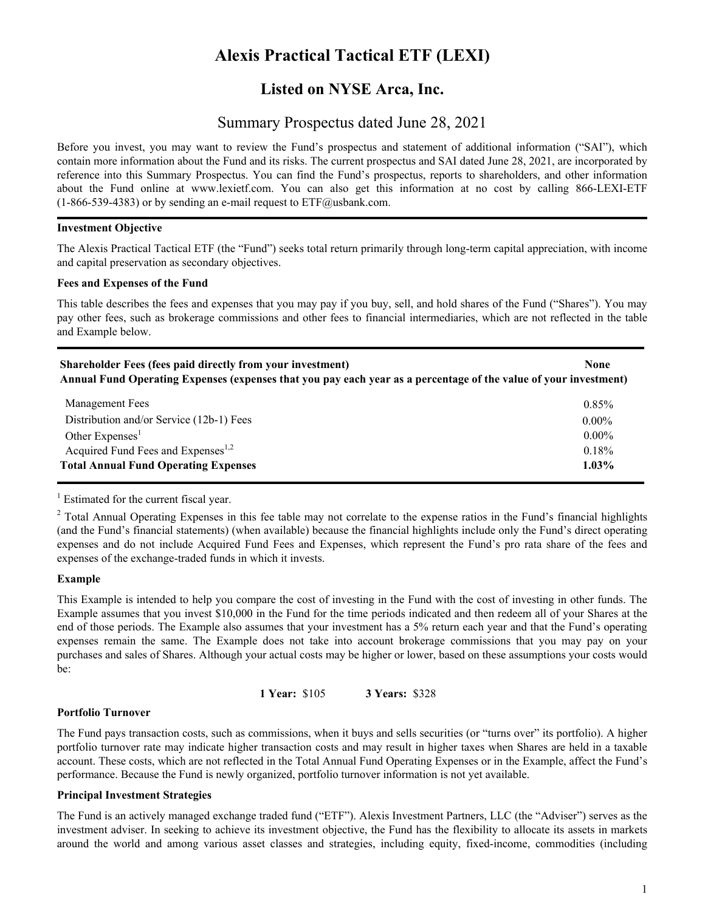# **Alexis Practical Tactical ETF (LEXI)**

# **Listed on NYSE Arca, Inc.**

# Summary Prospectus dated June 28, 2021

Before you invest, you may want to review the Fund's prospectus and statement of additional information ("SAI"), which contain more information about the Fund and its risks. The current prospectus and SAI dated June 28, 2021, are incorporated by reference into this Summary Prospectus. You can find the Fund's prospectus, reports to shareholders, and other information about the Fund online at www.lexietf.com. You can also get this information at no cost by calling 866-LEXI-ETF  $(1-866-539-4383)$  or by sending an e-mail request to  $ETF@$ usbank.com.

#### **Investment Objective**

The Alexis Practical Tactical ETF (the "Fund") seeks total return primarily through long-term capital appreciation, with income and capital preservation as secondary objectives.

#### **Fees and Expenses of the Fund**

This table describes the fees and expenses that you may pay if you buy, sell, and hold shares of the Fund ("Shares"). You may pay other fees, such as brokerage commissions and other fees to financial intermediaries, which are not reflected in the table and Example below.

| <b>Shareholder Fees (fees paid directly from your investment)</b>                                                | <b>None</b> |
|------------------------------------------------------------------------------------------------------------------|-------------|
| Annual Fund Operating Expenses (expenses that you pay each year as a percentage of the value of your investment) |             |

| <b>Management Fees</b>                         | 0.85%    |
|------------------------------------------------|----------|
| Distribution and/or Service (12b-1) Fees       | $0.00\%$ |
| Other Expenses <sup>1</sup>                    | $0.00\%$ |
| Acquired Fund Fees and Expenses <sup>1,2</sup> | 0.18%    |
| <b>Total Annual Fund Operating Expenses</b>    |          |

<sup>1</sup> Estimated for the current fiscal year.

 $2$  Total Annual Operating Expenses in this fee table may not correlate to the expense ratios in the Fund's financial highlights (and the Fund's financial statements) (when available) because the financial highlights include only the Fund's direct operating expenses and do not include Acquired Fund Fees and Expenses, which represent the Fund's pro rata share of the fees and expenses of the exchange-traded funds in which it invests.

### **Example**

This Example is intended to help you compare the cost of investing in the Fund with the cost of investing in other funds. The Example assumes that you invest \$10,000 in the Fund for the time periods indicated and then redeem all of your Shares at the end of those periods. The Example also assumes that your investment has a 5% return each year and that the Fund's operating expenses remain the same. The Example does not take into account brokerage commissions that you may pay on your purchases and sales of Shares. Although your actual costs may be higher or lower, based on these assumptions your costs would be:

**1 Year:** \$105 **3 Years:** \$328

### **Portfolio Turnover**

The Fund pays transaction costs, such as commissions, when it buys and sells securities (or "turns over" its portfolio). A higher portfolio turnover rate may indicate higher transaction costs and may result in higher taxes when Shares are held in a taxable account. These costs, which are not reflected in the Total Annual Fund Operating Expenses or in the Example, affect the Fund's performance. Because the Fund is newly organized, portfolio turnover information is not yet available.

### **Principal Investment Strategies**

The Fund is an actively managed exchange traded fund ("ETF"). Alexis Investment Partners, LLC (the "Adviser") serves as the investment adviser. In seeking to achieve its investment objective, the Fund has the flexibility to allocate its assets in markets around the world and among various asset classes and strategies, including equity, fixed-income, commodities (including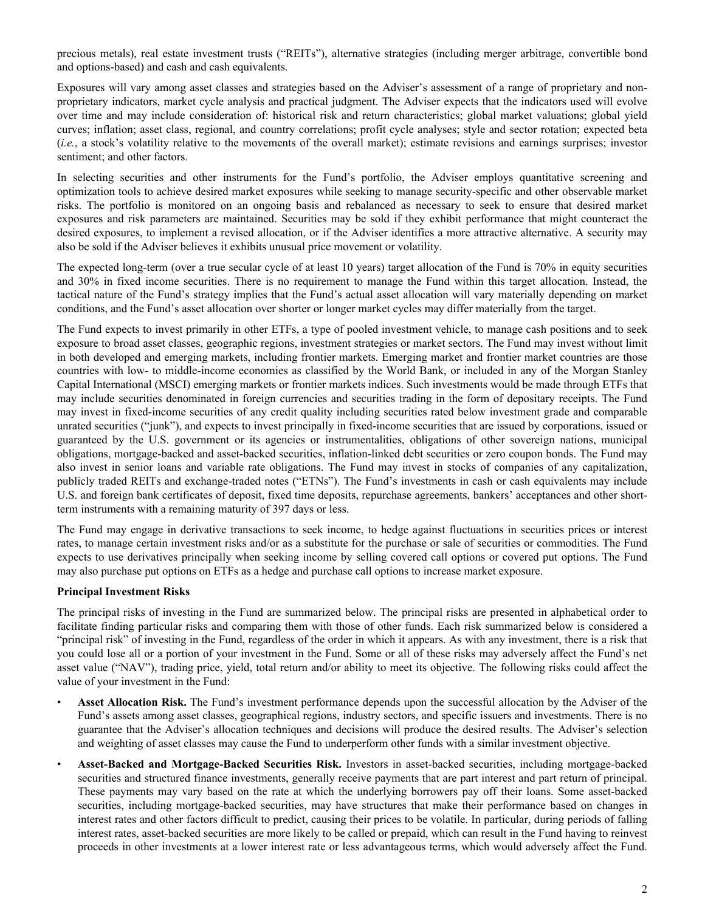precious metals), real estate investment trusts ("REITs"), alternative strategies (including merger arbitrage, convertible bond and options-based) and cash and cash equivalents.

Exposures will vary among asset classes and strategies based on the Adviser's assessment of a range of proprietary and nonproprietary indicators, market cycle analysis and practical judgment. The Adviser expects that the indicators used will evolve over time and may include consideration of: historical risk and return characteristics; global market valuations; global yield curves; inflation; asset class, regional, and country correlations; profit cycle analyses; style and sector rotation; expected beta (*i.e.*, a stock's volatility relative to the movements of the overall market); estimate revisions and earnings surprises; investor sentiment; and other factors.

In selecting securities and other instruments for the Fund's portfolio, the Adviser employs quantitative screening and optimization tools to achieve desired market exposures while seeking to manage security-specific and other observable market risks. The portfolio is monitored on an ongoing basis and rebalanced as necessary to seek to ensure that desired market exposures and risk parameters are maintained. Securities may be sold if they exhibit performance that might counteract the desired exposures, to implement a revised allocation, or if the Adviser identifies a more attractive alternative. A security may also be sold if the Adviser believes it exhibits unusual price movement or volatility.

The expected long-term (over a true secular cycle of at least 10 years) target allocation of the Fund is 70% in equity securities and 30% in fixed income securities. There is no requirement to manage the Fund within this target allocation. Instead, the tactical nature of the Fund's strategy implies that the Fund's actual asset allocation will vary materially depending on market conditions, and the Fund's asset allocation over shorter or longer market cycles may differ materially from the target.

The Fund expects to invest primarily in other ETFs, a type of pooled investment vehicle, to manage cash positions and to seek exposure to broad asset classes, geographic regions, investment strategies or market sectors. The Fund may invest without limit in both developed and emerging markets, including frontier markets. Emerging market and frontier market countries are those countries with low- to middle-income economies as classified by the World Bank, or included in any of the Morgan Stanley Capital International (MSCI) emerging markets or frontier markets indices. Such investments would be made through ETFs that may include securities denominated in foreign currencies and securities trading in the form of depositary receipts. The Fund may invest in fixed-income securities of any credit quality including securities rated below investment grade and comparable unrated securities ("junk"), and expects to invest principally in fixed-income securities that are issued by corporations, issued or guaranteed by the U.S. government or its agencies or instrumentalities, obligations of other sovereign nations, municipal obligations, mortgage-backed and asset-backed securities, inflation-linked debt securities or zero coupon bonds. The Fund may also invest in senior loans and variable rate obligations. The Fund may invest in stocks of companies of any capitalization, publicly traded REITs and exchange-traded notes ("ETNs"). The Fund's investments in cash or cash equivalents may include U.S. and foreign bank certificates of deposit, fixed time deposits, repurchase agreements, bankers' acceptances and other shortterm instruments with a remaining maturity of 397 days or less.

The Fund may engage in derivative transactions to seek income, to hedge against fluctuations in securities prices or interest rates, to manage certain investment risks and/or as a substitute for the purchase or sale of securities or commodities. The Fund expects to use derivatives principally when seeking income by selling covered call options or covered put options. The Fund may also purchase put options on ETFs as a hedge and purchase call options to increase market exposure.

### **Principal Investment Risks**

The principal risks of investing in the Fund are summarized below. The principal risks are presented in alphabetical order to facilitate finding particular risks and comparing them with those of other funds. Each risk summarized below is considered a "principal risk" of investing in the Fund, regardless of the order in which it appears. As with any investment, there is a risk that you could lose all or a portion of your investment in the Fund. Some or all of these risks may adversely affect the Fund's net asset value ("NAV"), trading price, yield, total return and/or ability to meet its objective. The following risks could affect the value of your investment in the Fund:

- **Asset Allocation Risk.** The Fund's investment performance depends upon the successful allocation by the Adviser of the Fund's assets among asset classes, geographical regions, industry sectors, and specific issuers and investments. There is no guarantee that the Adviser's allocation techniques and decisions will produce the desired results. The Adviser's selection and weighting of asset classes may cause the Fund to underperform other funds with a similar investment objective.
- **Asset-Backed and Mortgage-Backed Securities Risk.** Investors in asset-backed securities, including mortgage-backed securities and structured finance investments, generally receive payments that are part interest and part return of principal. These payments may vary based on the rate at which the underlying borrowers pay off their loans. Some asset-backed securities, including mortgage-backed securities, may have structures that make their performance based on changes in interest rates and other factors difficult to predict, causing their prices to be volatile. In particular, during periods of falling interest rates, asset-backed securities are more likely to be called or prepaid, which can result in the Fund having to reinvest proceeds in other investments at a lower interest rate or less advantageous terms, which would adversely affect the Fund.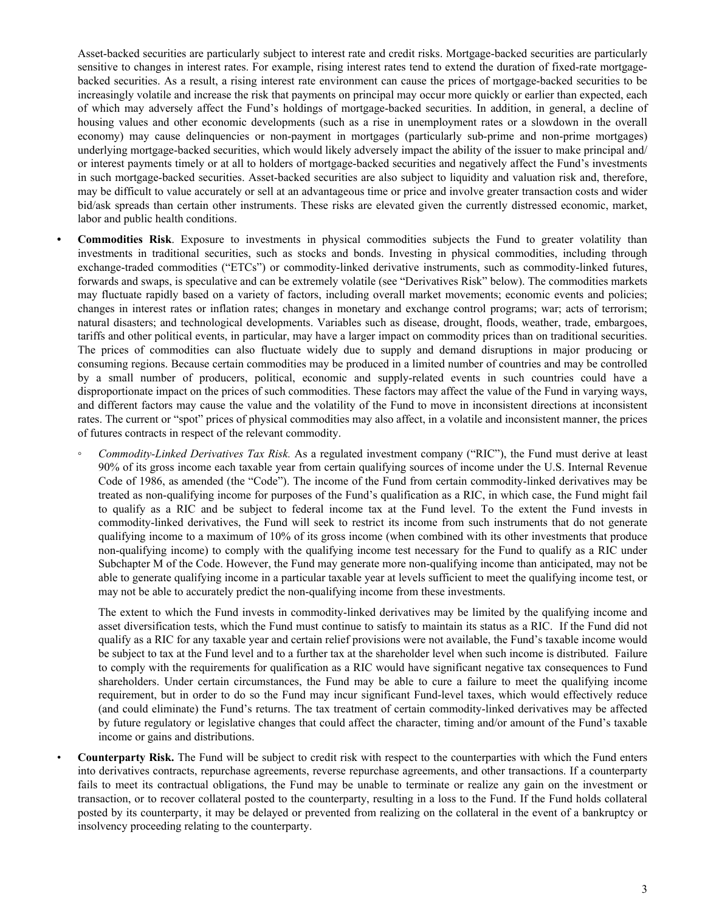Asset-backed securities are particularly subject to interest rate and credit risks. Mortgage-backed securities are particularly sensitive to changes in interest rates. For example, rising interest rates tend to extend the duration of fixed-rate mortgagebacked securities. As a result, a rising interest rate environment can cause the prices of mortgage-backed securities to be increasingly volatile and increase the risk that payments on principal may occur more quickly or earlier than expected, each of which may adversely affect the Fund's holdings of mortgage-backed securities. In addition, in general, a decline of housing values and other economic developments (such as a rise in unemployment rates or a slowdown in the overall economy) may cause delinquencies or non-payment in mortgages (particularly sub-prime and non-prime mortgages) underlying mortgage-backed securities, which would likely adversely impact the ability of the issuer to make principal and/ or interest payments timely or at all to holders of mortgage-backed securities and negatively affect the Fund's investments in such mortgage-backed securities. Asset-backed securities are also subject to liquidity and valuation risk and, therefore, may be difficult to value accurately or sell at an advantageous time or price and involve greater transaction costs and wider bid/ask spreads than certain other instruments. These risks are elevated given the currently distressed economic, market, labor and public health conditions.

- **• Commodities Risk**. Exposure to investments in physical commodities subjects the Fund to greater volatility than investments in traditional securities, such as stocks and bonds. Investing in physical commodities, including through exchange-traded commodities ("ETCs") or commodity-linked derivative instruments, such as commodity-linked futures, forwards and swaps, is speculative and can be extremely volatile (see "Derivatives Risk" below). The commodities markets may fluctuate rapidly based on a variety of factors, including overall market movements; economic events and policies; changes in interest rates or inflation rates; changes in monetary and exchange control programs; war; acts of terrorism; natural disasters; and technological developments. Variables such as disease, drought, floods, weather, trade, embargoes, tariffs and other political events, in particular, may have a larger impact on commodity prices than on traditional securities. The prices of commodities can also fluctuate widely due to supply and demand disruptions in major producing or consuming regions. Because certain commodities may be produced in a limited number of countries and may be controlled by a small number of producers, political, economic and supply-related events in such countries could have a disproportionate impact on the prices of such commodities. These factors may affect the value of the Fund in varying ways, and different factors may cause the value and the volatility of the Fund to move in inconsistent directions at inconsistent rates. The current or "spot" prices of physical commodities may also affect, in a volatile and inconsistent manner, the prices of futures contracts in respect of the relevant commodity.
	- *Commodity-Linked Derivatives Tax Risk.* As a regulated investment company ("RIC"), the Fund must derive at least 90% of its gross income each taxable year from certain qualifying sources of income under the U.S. Internal Revenue Code of 1986, as amended (the "Code"). The income of the Fund from certain commodity-linked derivatives may be treated as non-qualifying income for purposes of the Fund's qualification as a RIC, in which case, the Fund might fail to qualify as a RIC and be subject to federal income tax at the Fund level. To the extent the Fund invests in commodity-linked derivatives, the Fund will seek to restrict its income from such instruments that do not generate qualifying income to a maximum of 10% of its gross income (when combined with its other investments that produce non-qualifying income) to comply with the qualifying income test necessary for the Fund to qualify as a RIC under Subchapter M of the Code. However, the Fund may generate more non-qualifying income than anticipated, may not be able to generate qualifying income in a particular taxable year at levels sufficient to meet the qualifying income test, or may not be able to accurately predict the non-qualifying income from these investments.

The extent to which the Fund invests in commodity-linked derivatives may be limited by the qualifying income and asset diversification tests, which the Fund must continue to satisfy to maintain its status as a RIC. If the Fund did not qualify as a RIC for any taxable year and certain relief provisions were not available, the Fund's taxable income would be subject to tax at the Fund level and to a further tax at the shareholder level when such income is distributed. Failure to comply with the requirements for qualification as a RIC would have significant negative tax consequences to Fund shareholders. Under certain circumstances, the Fund may be able to cure a failure to meet the qualifying income requirement, but in order to do so the Fund may incur significant Fund-level taxes, which would effectively reduce (and could eliminate) the Fund's returns. The tax treatment of certain commodity-linked derivatives may be affected by future regulatory or legislative changes that could affect the character, timing and/or amount of the Fund's taxable income or gains and distributions.

• **Counterparty Risk.** The Fund will be subject to credit risk with respect to the counterparties with which the Fund enters into derivatives contracts, repurchase agreements, reverse repurchase agreements, and other transactions. If a counterparty fails to meet its contractual obligations, the Fund may be unable to terminate or realize any gain on the investment or transaction, or to recover collateral posted to the counterparty, resulting in a loss to the Fund. If the Fund holds collateral posted by its counterparty, it may be delayed or prevented from realizing on the collateral in the event of a bankruptcy or insolvency proceeding relating to the counterparty.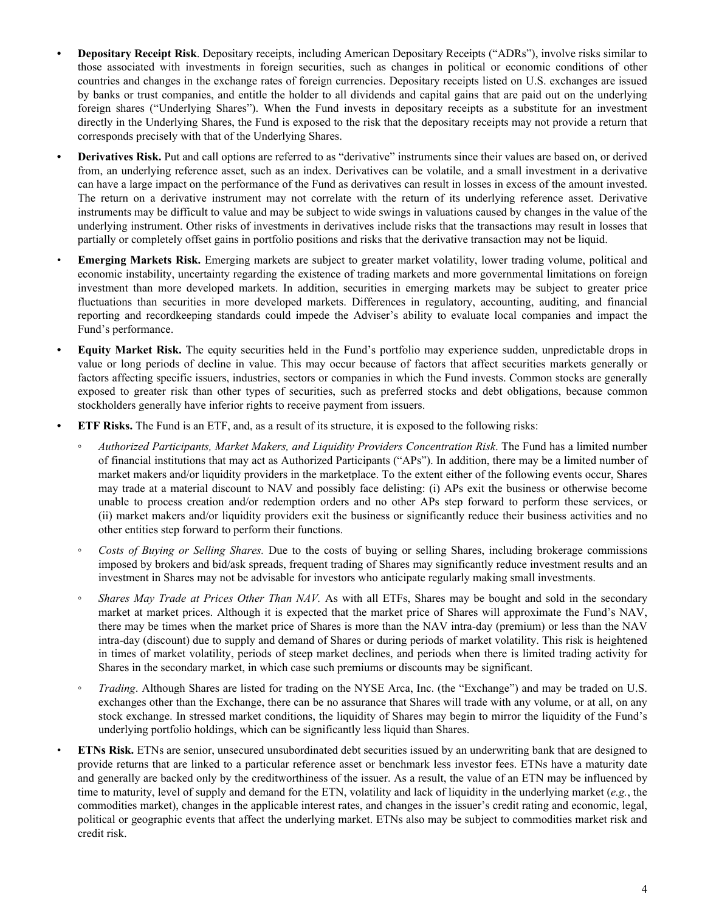- **• Depositary Receipt Risk**. Depositary receipts, including American Depositary Receipts ("ADRs"), involve risks similar to those associated with investments in foreign securities, such as changes in political or economic conditions of other countries and changes in the exchange rates of foreign currencies. Depositary receipts listed on U.S. exchanges are issued by banks or trust companies, and entitle the holder to all dividends and capital gains that are paid out on the underlying foreign shares ("Underlying Shares"). When the Fund invests in depositary receipts as a substitute for an investment directly in the Underlying Shares, the Fund is exposed to the risk that the depositary receipts may not provide a return that corresponds precisely with that of the Underlying Shares.
- **• Derivatives Risk.** Put and call options are referred to as "derivative" instruments since their values are based on, or derived from, an underlying reference asset, such as an index. Derivatives can be volatile, and a small investment in a derivative can have a large impact on the performance of the Fund as derivatives can result in losses in excess of the amount invested. The return on a derivative instrument may not correlate with the return of its underlying reference asset. Derivative instruments may be difficult to value and may be subject to wide swings in valuations caused by changes in the value of the underlying instrument. Other risks of investments in derivatives include risks that the transactions may result in losses that partially or completely offset gains in portfolio positions and risks that the derivative transaction may not be liquid.
- **Emerging Markets Risk.** Emerging markets are subject to greater market volatility, lower trading volume, political and economic instability, uncertainty regarding the existence of trading markets and more governmental limitations on foreign investment than more developed markets. In addition, securities in emerging markets may be subject to greater price fluctuations than securities in more developed markets. Differences in regulatory, accounting, auditing, and financial reporting and recordkeeping standards could impede the Adviser's ability to evaluate local companies and impact the Fund's performance.
- **• Equity Market Risk.** The equity securities held in the Fund's portfolio may experience sudden, unpredictable drops in value or long periods of decline in value. This may occur because of factors that affect securities markets generally or factors affecting specific issuers, industries, sectors or companies in which the Fund invests. Common stocks are generally exposed to greater risk than other types of securities, such as preferred stocks and debt obligations, because common stockholders generally have inferior rights to receive payment from issuers.
- **ETF Risks.** The Fund is an ETF, and, as a result of its structure, it is exposed to the following risks:
	- *◦ Authorized Participants, Market Makers, and Liquidity Providers Concentration Risk*. The Fund has a limited number of financial institutions that may act as Authorized Participants ("APs"). In addition, there may be a limited number of market makers and/or liquidity providers in the marketplace. To the extent either of the following events occur, Shares may trade at a material discount to NAV and possibly face delisting: (i) APs exit the business or otherwise become unable to process creation and/or redemption orders and no other APs step forward to perform these services, or (ii) market makers and/or liquidity providers exit the business or significantly reduce their business activities and no other entities step forward to perform their functions.
	- *◦ Costs of Buying or Selling Shares.* Due to the costs of buying or selling Shares, including brokerage commissions imposed by brokers and bid/ask spreads, frequent trading of Shares may significantly reduce investment results and an investment in Shares may not be advisable for investors who anticipate regularly making small investments.
	- *Shares May Trade at Prices Other Than NAV.* As with all ETFs, Shares may be bought and sold in the secondary market at market prices. Although it is expected that the market price of Shares will approximate the Fund's NAV, there may be times when the market price of Shares is more than the NAV intra-day (premium) or less than the NAV intra-day (discount) due to supply and demand of Shares or during periods of market volatility. This risk is heightened in times of market volatility, periods of steep market declines, and periods when there is limited trading activity for Shares in the secondary market, in which case such premiums or discounts may be significant.
	- *◦ Trading*. Although Shares are listed for trading on the NYSE Arca, Inc. (the "Exchange") and may be traded on U.S. exchanges other than the Exchange, there can be no assurance that Shares will trade with any volume, or at all, on any stock exchange. In stressed market conditions, the liquidity of Shares may begin to mirror the liquidity of the Fund's underlying portfolio holdings, which can be significantly less liquid than Shares.
- **ETNs Risk.** ETNs are senior, unsecured unsubordinated debt securities issued by an underwriting bank that are designed to provide returns that are linked to a particular reference asset or benchmark less investor fees. ETNs have a maturity date and generally are backed only by the creditworthiness of the issuer. As a result, the value of an ETN may be influenced by time to maturity, level of supply and demand for the ETN, volatility and lack of liquidity in the underlying market (*e.g.*, the commodities market), changes in the applicable interest rates, and changes in the issuer's credit rating and economic, legal, political or geographic events that affect the underlying market. ETNs also may be subject to commodities market risk and credit risk.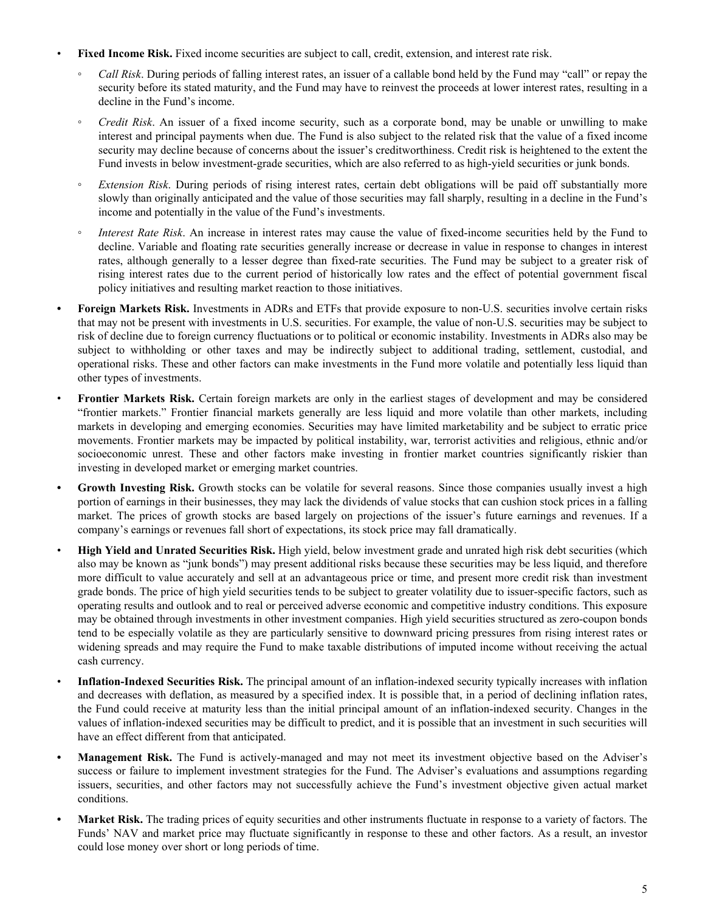- **Fixed Income Risk.** Fixed income securities are subject to call, credit, extension, and interest rate risk.
	- *◦ Call Risk*. During periods of falling interest rates, an issuer of a callable bond held by the Fund may "call" or repay the security before its stated maturity, and the Fund may have to reinvest the proceeds at lower interest rates, resulting in a decline in the Fund's income.
	- *◦ Credit Risk*. An issuer of a fixed income security, such as a corporate bond, may be unable or unwilling to make interest and principal payments when due. The Fund is also subject to the related risk that the value of a fixed income security may decline because of concerns about the issuer's creditworthiness. Credit risk is heightened to the extent the Fund invests in below investment-grade securities, which are also referred to as high-yield securities or junk bonds.
	- *Extension Risk*. During periods of rising interest rates, certain debt obligations will be paid off substantially more slowly than originally anticipated and the value of those securities may fall sharply, resulting in a decline in the Fund's income and potentially in the value of the Fund's investments.
	- *Interest Rate Risk*. An increase in interest rates may cause the value of fixed-income securities held by the Fund to decline. Variable and floating rate securities generally increase or decrease in value in response to changes in interest rates, although generally to a lesser degree than fixed-rate securities. The Fund may be subject to a greater risk of rising interest rates due to the current period of historically low rates and the effect of potential government fiscal policy initiatives and resulting market reaction to those initiatives.
- **• Foreign Markets Risk.** Investments in ADRs and ETFs that provide exposure to non-U.S. securities involve certain risks that may not be present with investments in U.S. securities. For example, the value of non-U.S. securities may be subject to risk of decline due to foreign currency fluctuations or to political or economic instability. Investments in ADRs also may be subject to withholding or other taxes and may be indirectly subject to additional trading, settlement, custodial, and operational risks. These and other factors can make investments in the Fund more volatile and potentially less liquid than other types of investments.
- **Frontier Markets Risk.** Certain foreign markets are only in the earliest stages of development and may be considered "frontier markets." Frontier financial markets generally are less liquid and more volatile than other markets, including markets in developing and emerging economies. Securities may have limited marketability and be subject to erratic price movements. Frontier markets may be impacted by political instability, war, terrorist activities and religious, ethnic and/or socioeconomic unrest. These and other factors make investing in frontier market countries significantly riskier than investing in developed market or emerging market countries.
- **Growth Investing Risk.** Growth stocks can be volatile for several reasons. Since those companies usually invest a high portion of earnings in their businesses, they may lack the dividends of value stocks that can cushion stock prices in a falling market. The prices of growth stocks are based largely on projections of the issuer's future earnings and revenues. If a company's earnings or revenues fall short of expectations, its stock price may fall dramatically.
- **High Yield and Unrated Securities Risk.** High yield, below investment grade and unrated high risk debt securities (which also may be known as "junk bonds") may present additional risks because these securities may be less liquid, and therefore more difficult to value accurately and sell at an advantageous price or time, and present more credit risk than investment grade bonds. The price of high yield securities tends to be subject to greater volatility due to issuer-specific factors, such as operating results and outlook and to real or perceived adverse economic and competitive industry conditions. This exposure may be obtained through investments in other investment companies. High yield securities structured as zero-coupon bonds tend to be especially volatile as they are particularly sensitive to downward pricing pressures from rising interest rates or widening spreads and may require the Fund to make taxable distributions of imputed income without receiving the actual cash currency.
- **Inflation-Indexed Securities Risk.** The principal amount of an inflation-indexed security typically increases with inflation and decreases with deflation, as measured by a specified index. It is possible that, in a period of declining inflation rates, the Fund could receive at maturity less than the initial principal amount of an inflation-indexed security. Changes in the values of inflation-indexed securities may be difficult to predict, and it is possible that an investment in such securities will have an effect different from that anticipated.
- **• Management Risk.** The Fund is actively-managed and may not meet its investment objective based on the Adviser's success or failure to implement investment strategies for the Fund. The Adviser's evaluations and assumptions regarding issuers, securities, and other factors may not successfully achieve the Fund's investment objective given actual market conditions.
- **• Market Risk.** The trading prices of equity securities and other instruments fluctuate in response to a variety of factors. The Funds' NAV and market price may fluctuate significantly in response to these and other factors. As a result, an investor could lose money over short or long periods of time.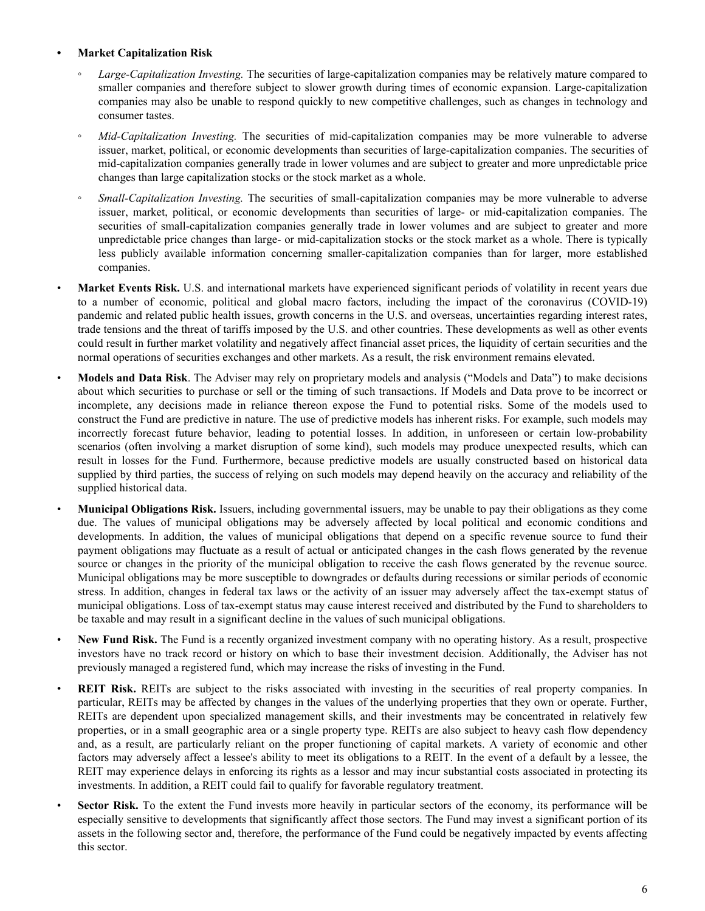### **• Market Capitalization Risk**

- *Large-Capitalization Investing.* The securities of large-capitalization companies may be relatively mature compared to smaller companies and therefore subject to slower growth during times of economic expansion. Large-capitalization companies may also be unable to respond quickly to new competitive challenges, such as changes in technology and consumer tastes.
- *Mid-Capitalization Investing.* The securities of mid-capitalization companies may be more vulnerable to adverse issuer, market, political, or economic developments than securities of large-capitalization companies. The securities of mid-capitalization companies generally trade in lower volumes and are subject to greater and more unpredictable price changes than large capitalization stocks or the stock market as a whole.
- *Small-Capitalization Investing.* The securities of small-capitalization companies may be more vulnerable to adverse issuer, market, political, or economic developments than securities of large- or mid-capitalization companies. The securities of small-capitalization companies generally trade in lower volumes and are subject to greater and more unpredictable price changes than large- or mid-capitalization stocks or the stock market as a whole. There is typically less publicly available information concerning smaller-capitalization companies than for larger, more established companies.
- **Market Events Risk.** U.S. and international markets have experienced significant periods of volatility in recent years due to a number of economic, political and global macro factors, including the impact of the coronavirus (COVID-19) pandemic and related public health issues, growth concerns in the U.S. and overseas, uncertainties regarding interest rates, trade tensions and the threat of tariffs imposed by the U.S. and other countries. These developments as well as other events could result in further market volatility and negatively affect financial asset prices, the liquidity of certain securities and the normal operations of securities exchanges and other markets. As a result, the risk environment remains elevated.
- **Models and Data Risk**. The Adviser may rely on proprietary models and analysis ("Models and Data") to make decisions about which securities to purchase or sell or the timing of such transactions. If Models and Data prove to be incorrect or incomplete, any decisions made in reliance thereon expose the Fund to potential risks. Some of the models used to construct the Fund are predictive in nature. The use of predictive models has inherent risks. For example, such models may incorrectly forecast future behavior, leading to potential losses. In addition, in unforeseen or certain low-probability scenarios (often involving a market disruption of some kind), such models may produce unexpected results, which can result in losses for the Fund. Furthermore, because predictive models are usually constructed based on historical data supplied by third parties, the success of relying on such models may depend heavily on the accuracy and reliability of the supplied historical data.
- **Municipal Obligations Risk.** Issuers, including governmental issuers, may be unable to pay their obligations as they come due. The values of municipal obligations may be adversely affected by local political and economic conditions and developments. In addition, the values of municipal obligations that depend on a specific revenue source to fund their payment obligations may fluctuate as a result of actual or anticipated changes in the cash flows generated by the revenue source or changes in the priority of the municipal obligation to receive the cash flows generated by the revenue source. Municipal obligations may be more susceptible to downgrades or defaults during recessions or similar periods of economic stress. In addition, changes in federal tax laws or the activity of an issuer may adversely affect the tax-exempt status of municipal obligations. Loss of tax-exempt status may cause interest received and distributed by the Fund to shareholders to be taxable and may result in a significant decline in the values of such municipal obligations.
- **New Fund Risk.** The Fund is a recently organized investment company with no operating history. As a result, prospective investors have no track record or history on which to base their investment decision. Additionally, the Adviser has not previously managed a registered fund, which may increase the risks of investing in the Fund.
- **REIT Risk.** REITs are subject to the risks associated with investing in the securities of real property companies. In particular, REITs may be affected by changes in the values of the underlying properties that they own or operate. Further, REITs are dependent upon specialized management skills, and their investments may be concentrated in relatively few properties, or in a small geographic area or a single property type. REITs are also subject to heavy cash flow dependency and, as a result, are particularly reliant on the proper functioning of capital markets. A variety of economic and other factors may adversely affect a lessee's ability to meet its obligations to a REIT. In the event of a default by a lessee, the REIT may experience delays in enforcing its rights as a lessor and may incur substantial costs associated in protecting its investments. In addition, a REIT could fail to qualify for favorable regulatory treatment.
- **Sector Risk.** To the extent the Fund invests more heavily in particular sectors of the economy, its performance will be especially sensitive to developments that significantly affect those sectors. The Fund may invest a significant portion of its assets in the following sector and, therefore, the performance of the Fund could be negatively impacted by events affecting this sector.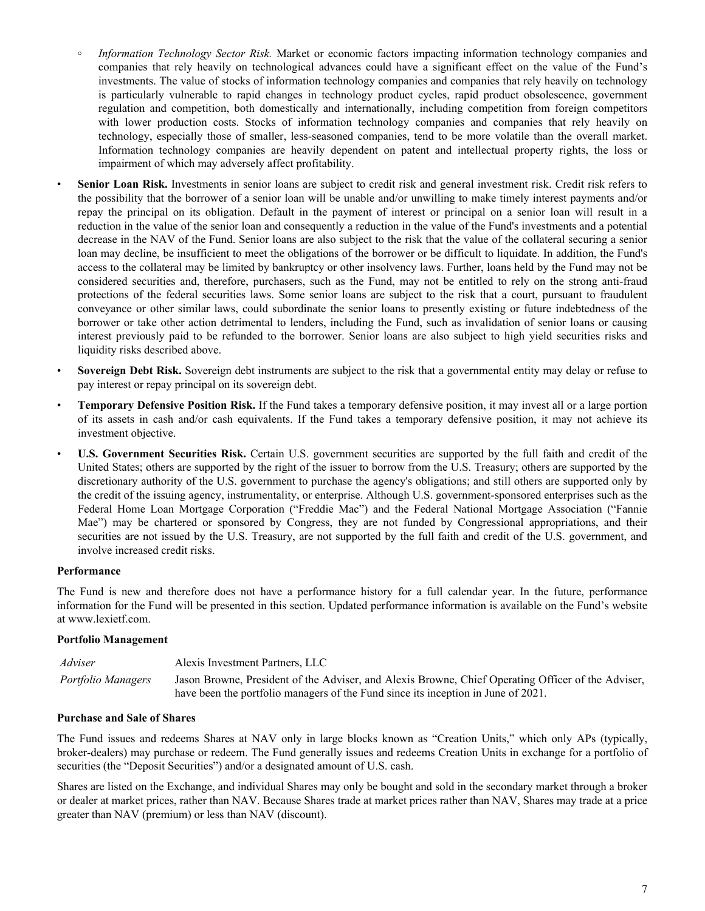- **◦** *Information Technology Sector Risk.* Market or economic factors impacting information technology companies and companies that rely heavily on technological advances could have a significant effect on the value of the Fund's investments. The value of stocks of information technology companies and companies that rely heavily on technology is particularly vulnerable to rapid changes in technology product cycles, rapid product obsolescence, government regulation and competition, both domestically and internationally, including competition from foreign competitors with lower production costs. Stocks of information technology companies and companies that rely heavily on technology, especially those of smaller, less-seasoned companies, tend to be more volatile than the overall market. Information technology companies are heavily dependent on patent and intellectual property rights, the loss or impairment of which may adversely affect profitability.
- Senior Loan Risk. Investments in senior loans are subject to credit risk and general investment risk. Credit risk refers to the possibility that the borrower of a senior loan will be unable and/or unwilling to make timely interest payments and/or repay the principal on its obligation. Default in the payment of interest or principal on a senior loan will result in a reduction in the value of the senior loan and consequently a reduction in the value of the Fund's investments and a potential decrease in the NAV of the Fund. Senior loans are also subject to the risk that the value of the collateral securing a senior loan may decline, be insufficient to meet the obligations of the borrower or be difficult to liquidate. In addition, the Fund's access to the collateral may be limited by bankruptcy or other insolvency laws. Further, loans held by the Fund may not be considered securities and, therefore, purchasers, such as the Fund, may not be entitled to rely on the strong anti-fraud protections of the federal securities laws. Some senior loans are subject to the risk that a court, pursuant to fraudulent conveyance or other similar laws, could subordinate the senior loans to presently existing or future indebtedness of the borrower or take other action detrimental to lenders, including the Fund, such as invalidation of senior loans or causing interest previously paid to be refunded to the borrower. Senior loans are also subject to high yield securities risks and liquidity risks described above.
- **Sovereign Debt Risk.** Sovereign debt instruments are subject to the risk that a governmental entity may delay or refuse to pay interest or repay principal on its sovereign debt.
- **Temporary Defensive Position Risk.** If the Fund takes a temporary defensive position, it may invest all or a large portion of its assets in cash and/or cash equivalents. If the Fund takes a temporary defensive position, it may not achieve its investment objective.
- **U.S. Government Securities Risk.** Certain U.S. government securities are supported by the full faith and credit of the United States; others are supported by the right of the issuer to borrow from the U.S. Treasury; others are supported by the discretionary authority of the U.S. government to purchase the agency's obligations; and still others are supported only by the credit of the issuing agency, instrumentality, or enterprise. Although U.S. government-sponsored enterprises such as the Federal Home Loan Mortgage Corporation ("Freddie Mac") and the Federal National Mortgage Association ("Fannie Mae") may be chartered or sponsored by Congress, they are not funded by Congressional appropriations, and their securities are not issued by the U.S. Treasury, are not supported by the full faith and credit of the U.S. government, and involve increased credit risks.

### **Performance**

The Fund is new and therefore does not have a performance history for a full calendar year. In the future, performance information for the Fund will be presented in this section. Updated performance information is available on the Fund's website at www.lexietf.com.

#### **Portfolio Management**

| Adviser            | Alexis Investment Partners, LLC                                                                    |
|--------------------|----------------------------------------------------------------------------------------------------|
| Portfolio Managers | Jason Browne, President of the Adviser, and Alexis Browne, Chief Operating Officer of the Adviser, |
|                    | have been the portfolio managers of the Fund since its inception in June of 2021.                  |

#### **Purchase and Sale of Shares**

The Fund issues and redeems Shares at NAV only in large blocks known as "Creation Units," which only APs (typically, broker-dealers) may purchase or redeem. The Fund generally issues and redeems Creation Units in exchange for a portfolio of securities (the "Deposit Securities") and/or a designated amount of U.S. cash.

Shares are listed on the Exchange, and individual Shares may only be bought and sold in the secondary market through a broker or dealer at market prices, rather than NAV. Because Shares trade at market prices rather than NAV, Shares may trade at a price greater than NAV (premium) or less than NAV (discount).